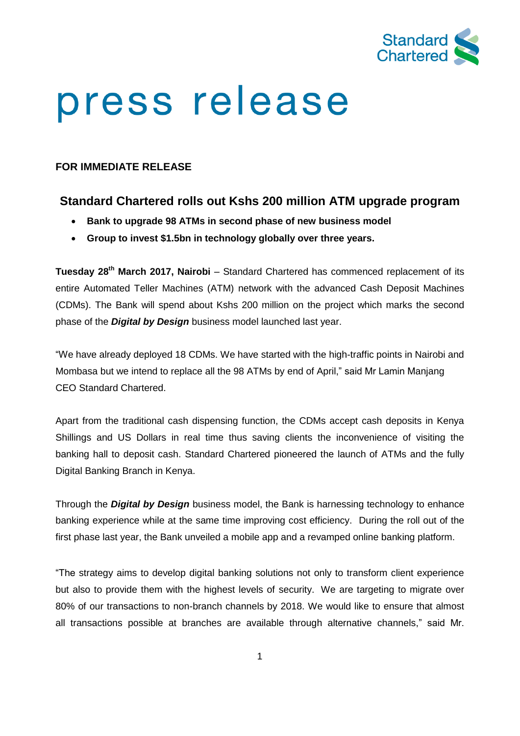

# press release

### **FOR IMMEDIATE RELEASE**

## **Standard Chartered rolls out Kshs 200 million ATM upgrade program**

- **Bank to upgrade 98 ATMs in second phase of new business model**
- **Group to invest \$1.5bn in technology globally over three years.**

**Tuesday 28th March 2017, Nairobi** – Standard Chartered has commenced replacement of its entire Automated Teller Machines (ATM) network with the advanced Cash Deposit Machines (CDMs). The Bank will spend about Kshs 200 million on the project which marks the second phase of the *Digital by Design* business model launched last year.

"We have already deployed 18 CDMs. We have started with the high-traffic points in Nairobi and Mombasa but we intend to replace all the 98 ATMs by end of April," said Mr Lamin Manjang CEO Standard Chartered.

Apart from the traditional cash dispensing function, the CDMs accept cash deposits in Kenya Shillings and US Dollars in real time thus saving clients the inconvenience of visiting the banking hall to deposit cash. Standard Chartered pioneered the launch of ATMs and the fully Digital Banking Branch in Kenya.

Through the *Digital by Design* business model, the Bank is harnessing technology to enhance banking experience while at the same time improving cost efficiency. During the roll out of the first phase last year, the Bank unveiled a mobile app and a revamped online banking platform.

"The strategy aims to develop digital banking solutions not only to transform client experience but also to provide them with the highest levels of security. We are targeting to migrate over 80% of our transactions to non-branch channels by 2018. We would like to ensure that almost all transactions possible at branches are available through alternative channels," said Mr.